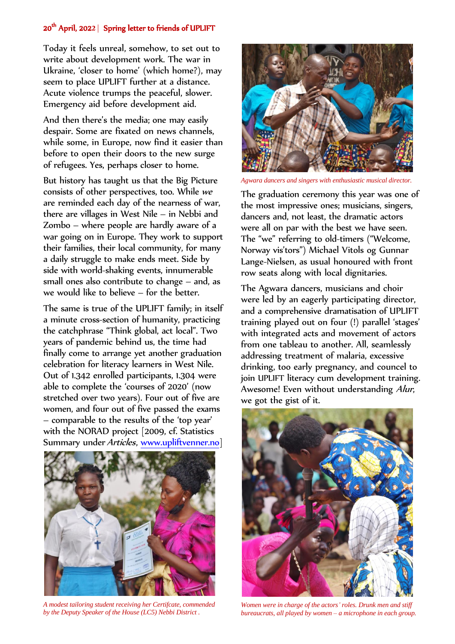## 20th April, 202**2** | Spring letter to friends of UPLIFT

Today it feels unreal, somehow, to set out to write about development work. The war in Ukraine, 'closer to home' (which home?), may seem to place UPLIFT further at a distance. Acute violence trumps the peaceful, slower. Emergency aid before development aid.

And then there's the media; one may easily despair. Some are fixated on news channels, while some, in Europe, now find it easier than before to open their doors to the new surge of refugees. Yes, perhaps closer to home.

But history has taught us that the Big Picture consists of other perspectives, too. While we are reminded each day of the nearness of war, there are villages in West Nile – in Nebbi and Zombo – where people are hardly aware of a war going on in Europe. They work to support their families, their local community, for many a daily struggle to make ends meet. Side by side with world-shaking events, innumerable small ones also contribute to change – and, as we would like to believe – for the better.

The same is true of the UPLIFT family; in itself a minute cross-section of humanity, practicing the catchphrase "Think global, act local". Two years of pandemic behind us, the time had finally come to arrange yet another graduation celebration for literacy learners in West Nile. Out of 1.342 enrolled participants, 1.304 were able to complete the 'courses of 2020' (now stretched over two years). Four out of five are women, and four out of five passed the exams – comparable to the results of the 'top year' with the NORAD project [2009, cf. Statistics Summary under Articles, [www.upliftvenner.no\]](http://www.upliftvenner.no/)



*A modest tailoring student receiving her Certifcate, commended by the Deputy Speaker of the House (LC5) Nebbi District .* 



*Agwara dancers and singers with enthusiastic musical director.* 

The graduation ceremony this year was one of the most impressive ones; musicians, singers, dancers and, not least, the dramatic actors were all on par with the best we have seen. The "we" referring to old-timers ("Welcome, Norway vis'tors") Michael Vitols og Gunnar Lange-Nielsen, as usual honoured with front row seats along with local dignitaries.

The Agwara dancers, musicians and choir were led by an eagerly participating director, and a comprehensive dramatisation of UPLIFT training played out on four (!) parallel 'stages' with integrated acts and movement of actors from one tableau to another. All, seamlessly addressing treatment of malaria, excessive drinking, too early pregnancy, and councel to join UPLIFT literacy cum development training. Awesome! Even without understanding Alur, we got the gist of it.



*Women were in charge of the actors' roles. Drunk men and stiff bureaucrats, all played by women – a microphone in each group.*